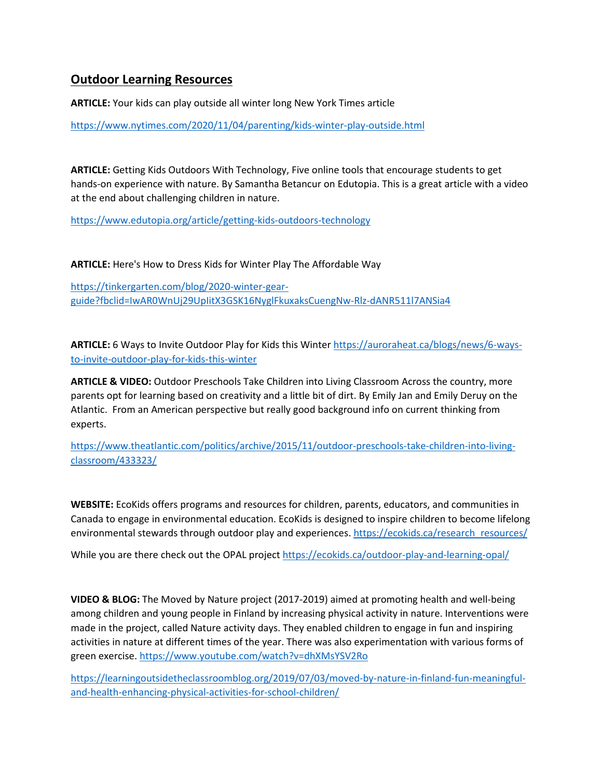## **Outdoor Learning Resources**

**ARTICLE:** Your kids can play outside all winter long New York Times article

<https://www.nytimes.com/2020/11/04/parenting/kids-winter-play-outside.html>

**ARTICLE:** Getting Kids Outdoors With Technology, Five online tools that encourage students to get hands-on experience with nature. By Samantha Betancur on Edutopia. This is a great article with a video at the end about challenging children in nature.

<https://www.edutopia.org/article/getting-kids-outdoors-technology>

**ARTICLE:** Here's How to Dress Kids for Winter Play The Affordable Way

[https://tinkergarten.com/blog/2020-winter-gear](https://tinkergarten.com/blog/2020-winter-gear-guide?fbclid=IwAR0WnUj29UpIitX3GSK16NyglFkuxaksCuengNw-Rlz-dANR511l7ANSia4)[guide?fbclid=IwAR0WnUj29UpIitX3GSK16NyglFkuxaksCuengNw-Rlz-dANR511l7ANSia4](https://tinkergarten.com/blog/2020-winter-gear-guide?fbclid=IwAR0WnUj29UpIitX3GSK16NyglFkuxaksCuengNw-Rlz-dANR511l7ANSia4)

**ARTICLE:** 6 Ways to Invite Outdoor Play for Kids this Winter [https://auroraheat.ca/blogs/news/6-ways](https://auroraheat.ca/blogs/news/6-ways-to-invite-outdoor-play-for-kids-this-winter)[to-invite-outdoor-play-for-kids-this-winter](https://auroraheat.ca/blogs/news/6-ways-to-invite-outdoor-play-for-kids-this-winter)

**ARTICLE & VIDEO:** Outdoor Preschools Take Children into Living Classroom Across the country, more parents opt for learning based on creativity and a little bit of dirt. By Emily Jan and Emily Deruy on the Atlantic. From an American perspective but really good background info on current thinking from experts.

[https://www.theatlantic.com/politics/archive/2015/11/outdoor-preschools-take-children-into-living](https://www.theatlantic.com/politics/archive/2015/11/outdoor-preschools-take-children-into-living-classroom/433323/)[classroom/433323/](https://www.theatlantic.com/politics/archive/2015/11/outdoor-preschools-take-children-into-living-classroom/433323/)

**WEBSITE:** EcoKids offers programs and resources for children, parents, educators, and communities in Canada to engage in environmental education. EcoKids is designed to inspire children to become lifelong environmental stewards through outdoor play and experiences[. https://ecokids.ca/research\\_resources/](https://ecokids.ca/research_resources/)

While you are there check out the OPAL projec[t https://ecokids.ca/outdoor-play-and-learning-opal/](https://ecokids.ca/outdoor-play-and-learning-opal/)

**VIDEO & BLOG:** The Moved by Nature project (2017-2019) aimed at promoting health and well-being among children and young people in Finland by increasing physical activity in nature. Interventions were made in the project, called Nature activity days. They enabled children to engage in fun and inspiring activities in nature at different times of the year. There was also experimentation with various forms of green exercise.<https://www.youtube.com/watch?v=dhXMsYSV2Ro>

[https://learningoutsidetheclassroomblog.org/2019/07/03/moved-by-nature-in-finland-fun-meaningful](https://learningoutsidetheclassroomblog.org/2019/07/03/moved-by-nature-in-finland-fun-meaningful-and-health-enhancing-physical-activities-for-school-children/)[and-health-enhancing-physical-activities-for-school-children/](https://learningoutsidetheclassroomblog.org/2019/07/03/moved-by-nature-in-finland-fun-meaningful-and-health-enhancing-physical-activities-for-school-children/)